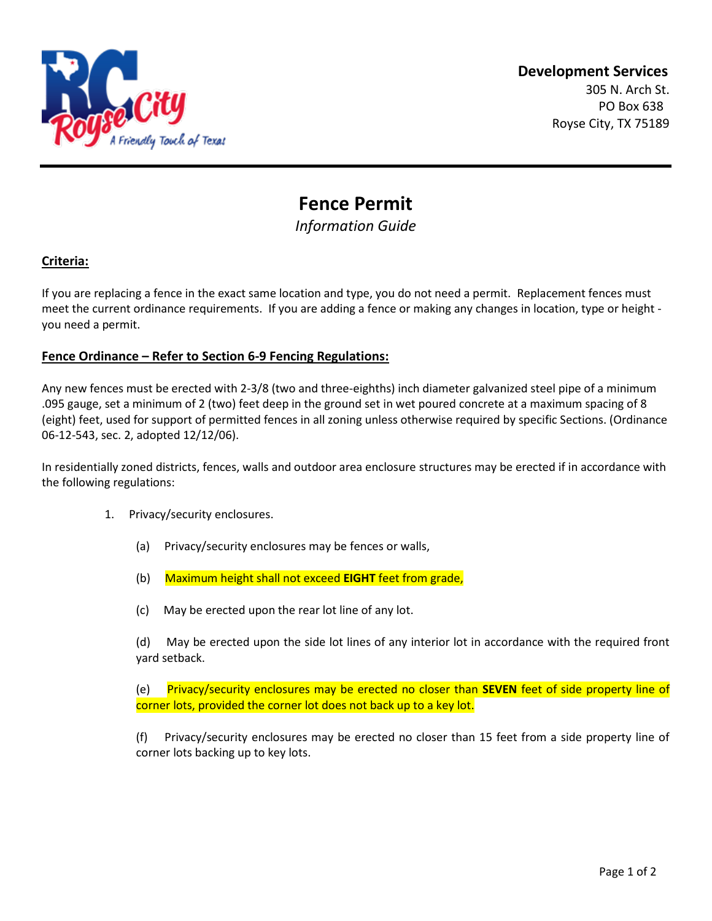

# **Fence Permit**

*Information Guide*

# **Criteria:**

If you are replacing a fence in the exact same location and type, you do not need a permit. Replacement fences must meet the current ordinance requirements. If you are adding a fence or making any changes in location, type or height you need a permit.

#### **Fence Ordinance – Refer to Section 6-9 Fencing Regulations:**

Any new fences must be erected with 2-3/8 (two and three-eighths) inch diameter galvanized steel pipe of a minimum .095 gauge, set a minimum of 2 (two) feet deep in the ground set in wet poured concrete at a maximum spacing of 8 (eight) feet, used for support of permitted fences in all zoning unless otherwise required by specific Sections. (Ordinance 06-12-543, sec. 2, adopted 12/12/06).

In residentially zoned districts, fences, walls and outdoor area enclosure structures may be erected if in accordance with the following regulations:

- 1. Privacy/security enclosures.
	- (a) Privacy/security enclosures may be fences or walls,
	- (b) Maximum height shall not exceed **EIGHT** feet from grade,
	- (c) May be erected upon the rear lot line of any lot.

(d) May be erected upon the side lot lines of any interior lot in accordance with the required front yard setback.

(e) Privacy/security enclosures may be erected no closer than **SEVEN** feet of side property line of corner lots, provided the corner lot does not back up to a key lot.

(f) Privacy/security enclosures may be erected no closer than 15 feet from a side property line of corner lots backing up to key lots.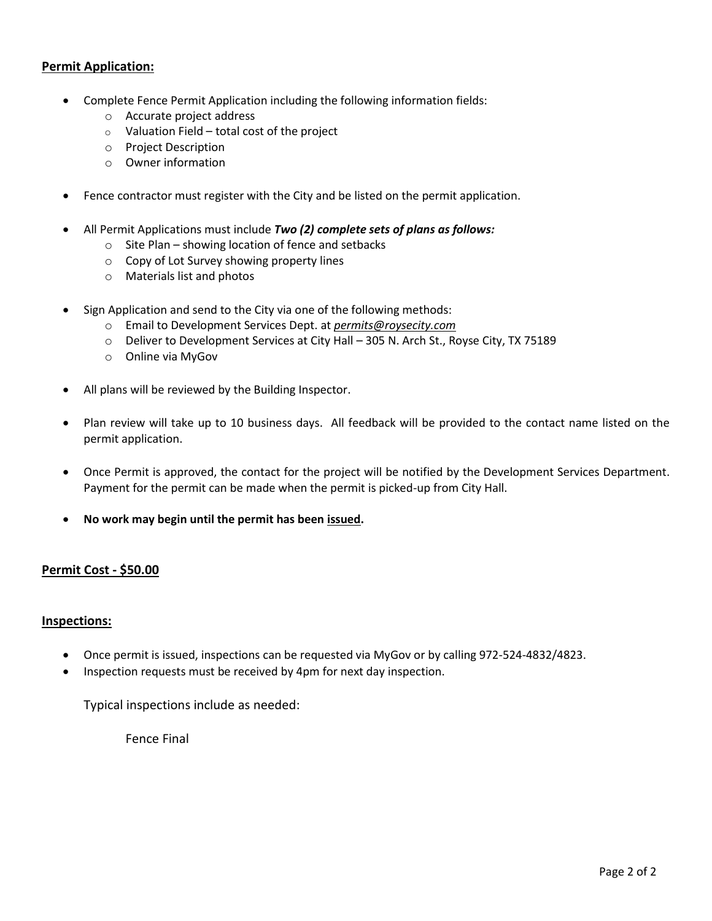## **Permit Application:**

- Complete Fence Permit Application including the following information fields:
	- o Accurate project address
	- $\circ$  Valuation Field total cost of the project
	- o Project Description
	- o Owner information
- Fence contractor must register with the City and be listed on the permit application.
- All Permit Applications must include *Two (2) complete sets of plans as follows:*
	- o Site Plan showing location of fence and setbacks
	- o Copy of Lot Survey showing property lines
	- o Materials list and photos
- Sign Application and send to the City via one of the following methods:
	- o Email to Development Services Dept. at *permits@roysecity.com*
	- o Deliver to Development Services at City Hall 305 N. Arch St., Royse City, TX 75189
	- o Online via MyGov
- All plans will be reviewed by the Building Inspector.
- Plan review will take up to 10 business days. All feedback will be provided to the contact name listed on the permit application.
- Once Permit is approved, the contact for the project will be notified by the Development Services Department. Payment for the permit can be made when the permit is picked-up from City Hall.
- **No work may begin until the permit has been issued.**

#### **Permit Cost - \$50.00**

#### **Inspections:**

- Once permit is issued, inspections can be requested via MyGov or by calling 972-524-4832/4823.
- Inspection requests must be received by 4pm for next day inspection.

Typical inspections include as needed:

Fence Final